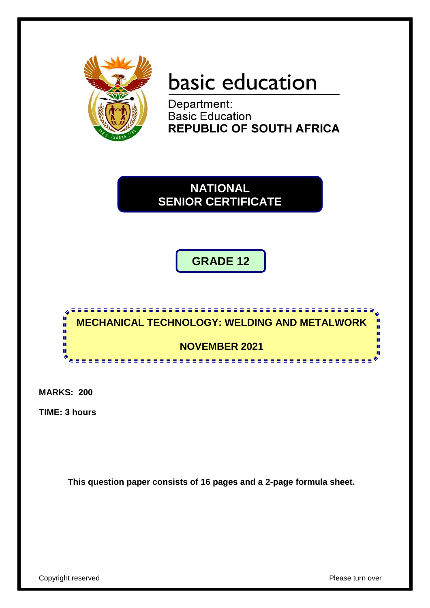

# basic education

Department: **Basic Education REPUBLIC OF SOUTH AFRICA** 

**NATIONAL SENIOR CERTIFICATE**

**GRADE 12**



**MARKS: 200**

**TIME: 3 hours**

**This question paper consists of 16 pages and a 2-page formula sheet.**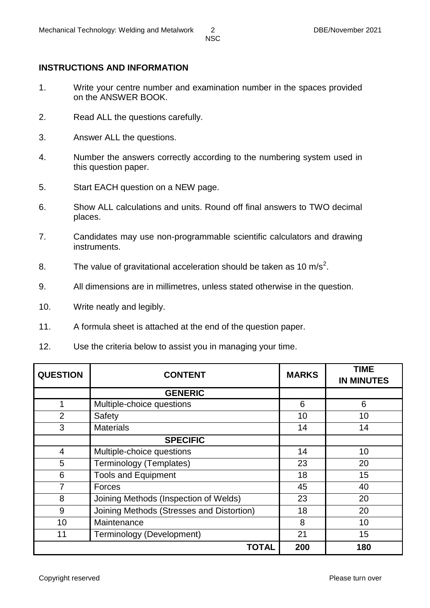#### **INSTRUCTIONS AND INFORMATION**

- 1. Write your centre number and examination number in the spaces provided on the ANSWER BOOK.
- 2. Read ALL the questions carefully.
- 3. Answer ALL the questions.
- 4. Number the answers correctly according to the numbering system used in this question paper.
- 5. Start EACH question on a NEW page.
- 6. Show ALL calculations and units. Round off final answers to TWO decimal places.
- 7. Candidates may use non-programmable scientific calculators and drawing instruments.
- 8. The value of gravitational acceleration should be taken as 10 m/s<sup>2</sup>.
- 9. All dimensions are in millimetres, unless stated otherwise in the question.
- 10. Write neatly and legibly.
- 11. A formula sheet is attached at the end of the question paper.
- 12. Use the criteria below to assist you in managing your time.

| <b>QUESTION</b> | <b>CONTENT</b>                            | <b>MARKS</b> | <b>TIME</b><br><b>IN MINUTES</b> |
|-----------------|-------------------------------------------|--------------|----------------------------------|
|                 | <b>GENERIC</b>                            |              |                                  |
| 1               | Multiple-choice questions                 | 6            | 6                                |
| 2               | Safety                                    | 10           | 10                               |
| 3               | <b>Materials</b>                          | 14           | 14                               |
|                 | <b>SPECIFIC</b>                           |              |                                  |
| $\overline{4}$  | Multiple-choice questions                 | 14           | 10                               |
| 5               | Terminology (Templates)                   | 23           | 20                               |
| 6               | <b>Tools and Equipment</b>                | 18           | 15                               |
|                 | Forces                                    | 45           | 40                               |
| 8               | Joining Methods (Inspection of Welds)     | 23           | 20                               |
| 9               | Joining Methods (Stresses and Distortion) | 18           | 20                               |
| 10              | Maintenance                               | 8            | 10                               |
| 11              | Terminology (Development)                 | 21           | 15                               |
|                 | <b>TOTAL</b>                              | 200          | 180                              |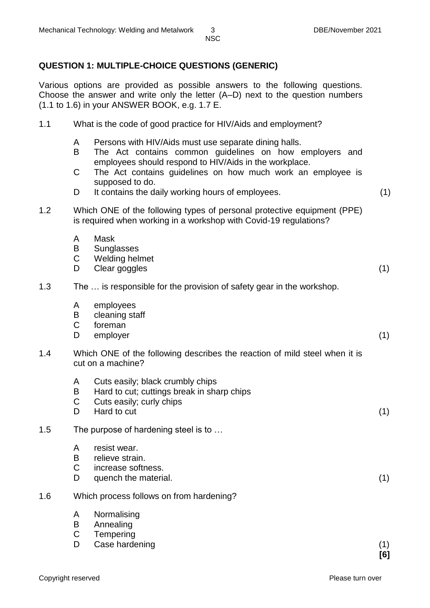## **QUESTION 1: MULTIPLE-CHOICE QUESTIONS (GENERIC)**

Various options are provided as possible answers to the following questions. Choose the answer and write only the letter (A–D) next to the question numbers (1.1 to 1.6) in your ANSWER BOOK, e.g. 1.7 E.

| 1.1 | What is the code of good practice for HIV/Aids and employment? |  |  |  |
|-----|----------------------------------------------------------------|--|--|--|
|-----|----------------------------------------------------------------|--|--|--|

- A Persons with HIV/Aids must use separate dining halls.
- B The Act contains common guidelines on how employers and employees should respond to HIV/Aids in the workplace.
- $\mathcal{C}$ The Act contains guidelines on how much work an employee is supposed to do.
- D It contains the daily working hours of employees. (1)
	-
- 1.2 Which ONE of the following types of personal protective equipment (PPE) is required when working in a workshop with Covid-19 regulations?
	- A Mask
	- B **Sunglasses**
	- $\mathcal{C}$ Welding helmet
	- D Clear goggles (1)

#### 1.3 The … is responsible for the provision of safety gear in the workshop.

- A employees
- B cleaning staff
- C foreman
- D<sub>1</sub> employer (1)
- 1.4 Which ONE of the following describes the reaction of mild steel when it is cut on a machine?
	- A Cuts easily; black crumbly chips
	- B Hard to cut; cuttings break in sharp chips
	- $\mathsf{C}$ Cuts easily; curly chips
	- D. Hard to cut (1)

#### 1.5 The purpose of hardening steel is to …

- A resist wear.
- B relieve strain.
- $\mathcal{C}$ increase softness.
- D. quench the material. (1)

#### 1.6 Which process follows on from hardening?

- A Normalising
- B Annealing
- $\mathcal{C}$ **Tempering**
- D Case hardening (1) (1)
	- **[6]**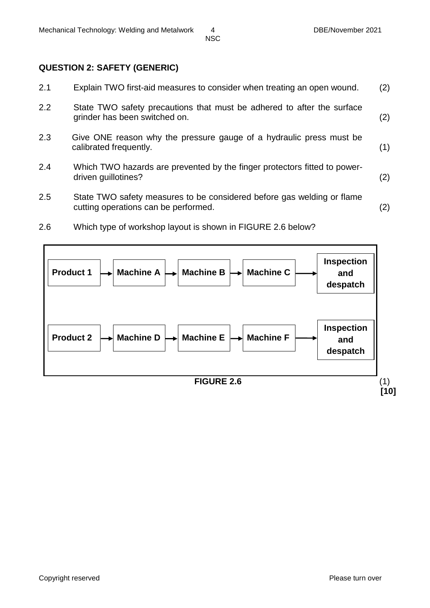#### **QUESTION 2: SAFETY (GENERIC)**

| 2.1 | Explain TWO first-aid measures to consider when treating an open wound.                                        | (2) |
|-----|----------------------------------------------------------------------------------------------------------------|-----|
| 2.2 | State TWO safety precautions that must be adhered to after the surface<br>grinder has been switched on.        | (2) |
| 2.3 | Give ONE reason why the pressure gauge of a hydraulic press must be<br>calibrated frequently.                  | (1) |
| 2.4 | Which TWO hazards are prevented by the finger protectors fitted to power-<br>driven guillotines?               | (2) |
| 2.5 | State TWO safety measures to be considered before gas welding or flame<br>cutting operations can be performed. | (2) |

2.6 Which type of workshop layout is shown in FIGURE 2.6 below?

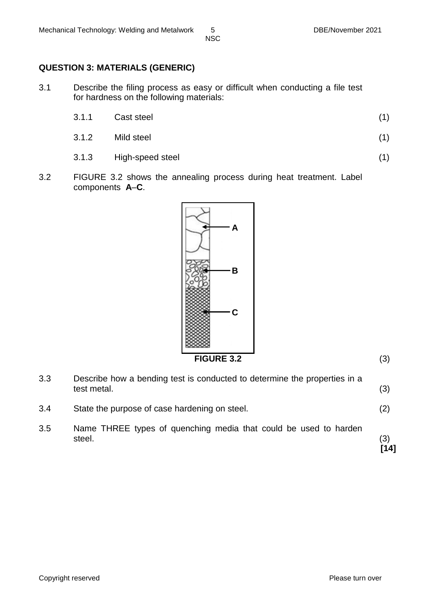#### **QUESTION 3: MATERIALS (GENERIC)**

- 3.1 Describe the filing process as easy or difficult when conducting a file test for hardness on the following materials:
	- 3.1.1 Cast steel (1)
	- 3.1.2 Mild steel (1)
	- 3.1.3 High-speed steel (1)

3.2 FIGURE 3.2 shows the annealing process during heat treatment. Label components **A**–**C**.



3.3 Describe how a bending test is conducted to determine the properties in a test metal. (3) 3.4 State the purpose of case hardening on steel. (2) 3.5 Name THREE types of quenching media that could be used to harden steel. (3) **[14]**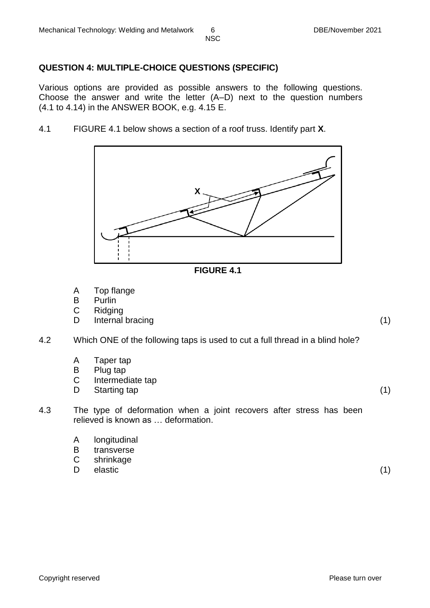## **QUESTION 4: MULTIPLE-CHOICE QUESTIONS (SPECIFIC)**

Various options are provided as possible answers to the following questions. Choose the answer and write the letter (A–D) next to the question numbers (4.1 to 4.14) in the ANSWER BOOK, e.g. 4.15 E.

4.1 FIGURE 4.1 below shows a section of a roof truss. Identify part **X**.





- A Top flange
- B **Purlin**
- C Ridging
- D Internal bracing (1) (1)
- 4.2 Which ONE of the following taps is used to cut a full thread in a blind hole?
	- A Taper tap
	- B Plug tap
	- C Intermediate tap
	- D<sub>1</sub> Starting tap (1) (1)
- 4.3 The type of deformation when a joint recovers after stress has been relieved is known as … deformation.
	- A longitudinal
	- B transverse
	- C shrinkage
	- D elastic (1)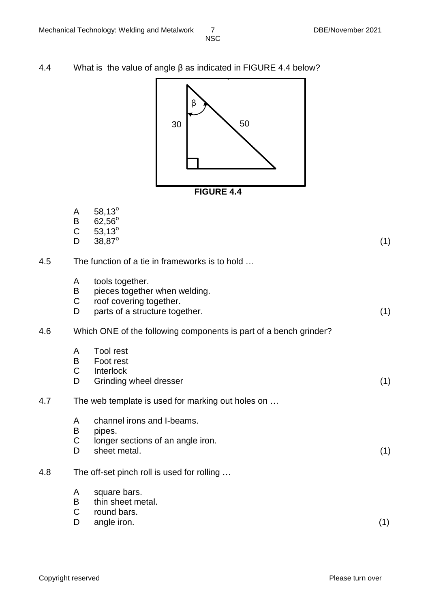4.4 What is the value of angle β as indicated in FIGURE 4.4 below?



|     | A<br>B<br>$\overline{C}$<br>D | $58,13^{\circ}$<br>$62,56^{\circ}$<br>$53,13^{\circ}$<br>38,87°                                               | (1) |
|-----|-------------------------------|---------------------------------------------------------------------------------------------------------------|-----|
| 4.5 |                               | The function of a tie in frameworks is to hold                                                                |     |
|     | A<br>B<br>$\mathsf C$<br>D    | tools together.<br>pieces together when welding.<br>roof covering together.<br>parts of a structure together. | (1) |
| 4.6 |                               | Which ONE of the following components is part of a bench grinder?                                             |     |
|     | A<br>B<br>$\mathsf C$<br>D    | <b>Tool rest</b><br>Foot rest<br>Interlock<br>Grinding wheel dresser                                          | (1) |
| 4.7 |                               | The web template is used for marking out holes on                                                             |     |
|     | A<br>B<br>C<br>D              | channel irons and I-beams.<br>pipes.<br>longer sections of an angle iron.<br>sheet metal.                     | (1) |
| 4.8 |                               | The off-set pinch roll is used for rolling                                                                    |     |
|     | A<br>B<br>$\mathsf C$<br>D    | square bars.<br>thin sheet metal.<br>round bars.<br>angle iron.                                               | (1) |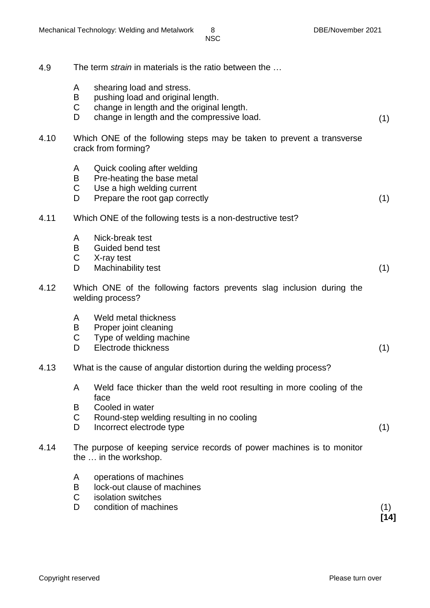| 4.9  |                  | The term <i>strain</i> in materials is the ratio between the                                                                                                               |             |
|------|------------------|----------------------------------------------------------------------------------------------------------------------------------------------------------------------------|-------------|
|      | A<br>B<br>C<br>D | shearing load and stress.<br>pushing load and original length.<br>change in length and the original length.<br>change in length and the compressive load.                  | (1)         |
| 4.10 |                  | Which ONE of the following steps may be taken to prevent a transverse<br>crack from forming?                                                                               |             |
|      | A<br>B<br>C<br>D | Quick cooling after welding<br>Pre-heating the base metal<br>Use a high welding current<br>Prepare the root gap correctly                                                  | (1)         |
| 4.11 |                  | Which ONE of the following tests is a non-destructive test?                                                                                                                |             |
|      | A<br>B<br>C<br>D | Nick-break test<br>Guided bend test<br>X-ray test<br>Machinability test                                                                                                    | (1)         |
| 4.12 |                  | Which ONE of the following factors prevents slag inclusion during the<br>welding process?                                                                                  |             |
|      | A<br>B<br>C<br>D | Weld metal thickness<br>Proper joint cleaning<br>Type of welding machine<br>Electrode thickness                                                                            | (1)         |
| 4.13 |                  | What is the cause of angular distortion during the welding process?                                                                                                        |             |
|      | A<br>B<br>C<br>D | Weld face thicker than the weld root resulting in more cooling of the<br>face<br>Cooled in water<br>Round-step welding resulting in no cooling<br>Incorrect electrode type | (1)         |
| 4.14 |                  | The purpose of keeping service records of power machines is to monitor<br>the  in the workshop.                                                                            |             |
|      | A<br>B<br>C<br>D | operations of machines<br>lock-out clause of machines<br>isolation switches<br>condition of machines                                                                       | (1)<br>[14] |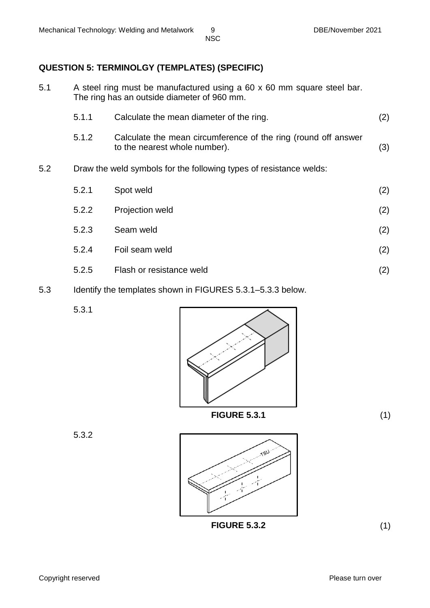#### **QUESTION 5: TERMINOLGY (TEMPLATES) (SPECIFIC)**

5.1 A steel ring must be manufactured using a 60 x 60 mm square steel bar. The ring has an outside diameter of 960 mm.

|     | 5.1.1 | Calculate the mean diameter of the ring.                                                        | (2) |
|-----|-------|-------------------------------------------------------------------------------------------------|-----|
|     | 5.1.2 | Calculate the mean circumference of the ring (round off answer<br>to the nearest whole number). | (3) |
| 5.2 |       | Draw the weld symbols for the following types of resistance welds:                              |     |
|     | 5.2.1 | Spot weld                                                                                       | (2) |
|     | 5.2.2 | Projection weld                                                                                 | (2) |
|     | 5.2.3 | Seam weld                                                                                       | (2) |
|     | 5.2.4 | Foil seam weld                                                                                  | (2) |
|     |       |                                                                                                 |     |

- 5.2.5 Flash or resistance weld (2)
- 5.3 Identify the templates shown in FIGURES 5.3.1–5.3.3 below.

5.3.1



5.3.2

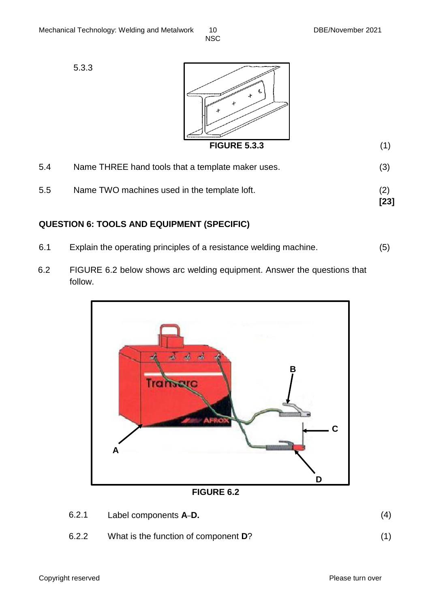5.3.3



| 5.4 | Name THREE hand tools that a template maker uses. | (3)         |
|-----|---------------------------------------------------|-------------|
| 5.5 | Name TWO machines used in the template loft.      | (2)<br>[23] |

## **QUESTION 6: TOOLS AND EQUIPMENT (SPECIFIC)**

- 6.1 Explain the operating principles of a resistance welding machine. (5)
- 6.2 FIGURE 6.2 below shows arc welding equipment. Answer the questions that follow.



**FIGURE 6.2**

| 6.2.1 | Label components A-D. | (4) |
|-------|-----------------------|-----|
|       |                       |     |

6.2.2 What is the function of component **D**? (1)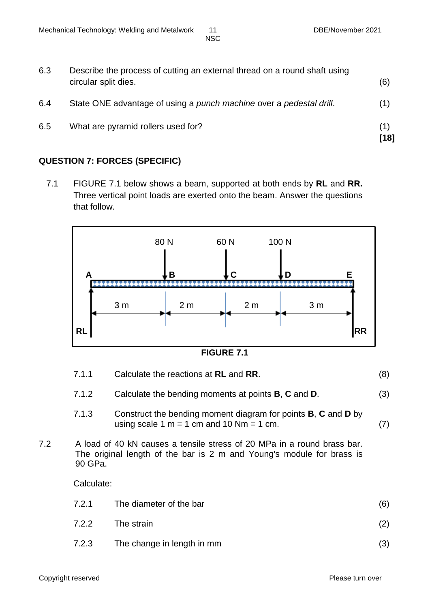| 6.3 | Describe the process of cutting an external thread on a round shaft using<br>circular split dies. | (6)         |
|-----|---------------------------------------------------------------------------------------------------|-------------|
| 6.4 | State ONE advantage of using a punch machine over a pedestal drill.                               | (1)         |
| 6.5 | What are pyramid rollers used for?                                                                | (1)<br>[18] |

# **QUESTION 7: FORCES (SPECIFIC)**

7.1 FIGURE 7.1 below shows a beam, supported at both ends by **RL** and **RR.** Three vertical point loads are exerted onto the beam. Answer the questions that follow.



**FIGURE 7.1**

|     | 7.1.1      | Calculate the reactions at RL and RR.                                                                                                            | (8) |
|-----|------------|--------------------------------------------------------------------------------------------------------------------------------------------------|-----|
|     | 7.1.2      | Calculate the bending moments at points <b>B</b> , <b>C</b> and <b>D</b> .                                                                       | (3) |
|     | 7.1.3      | Construct the bending moment diagram for points <b>B</b> , <b>C</b> and <b>D</b> by<br>using scale 1 m = 1 cm and 10 Nm = 1 cm.                  | (7) |
| 7.2 | 90 GPa.    | A load of 40 kN causes a tensile stress of 20 MPa in a round brass bar.<br>The original length of the bar is 2 m and Young's module for brass is |     |
|     | Calculate: |                                                                                                                                                  |     |
|     | 7.2.1      | The diameter of the bar                                                                                                                          | (6) |
|     | 7.2.2      | The strain                                                                                                                                       | (2) |

7.2.3 The change in length in mm (3)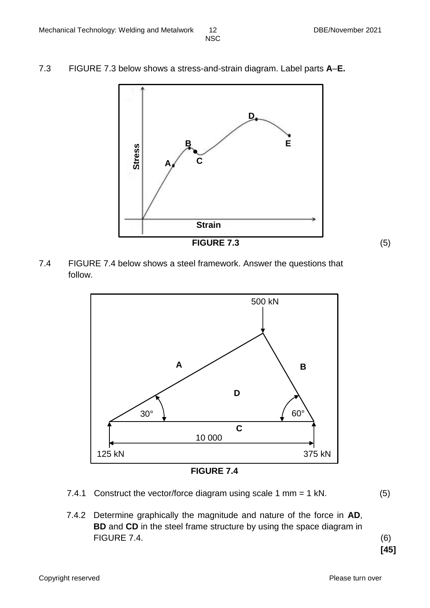7.3 FIGURE 7.3 below shows a stress-and-strain diagram. Label parts **A**–**E.**



7.4 FIGURE 7.4 below shows a steel framework. Answer the questions that follow.



**FIGURE 7.4**

- 7.4.1 Construct the vector/force diagram using scale 1 mm = 1 kN. (5)
- 7.4.2 Determine graphically the magnitude and nature of the force in **AD**, **BD** and **CD** in the steel frame structure by using the space diagram in FIGURE 7.4. (6)

**[45]**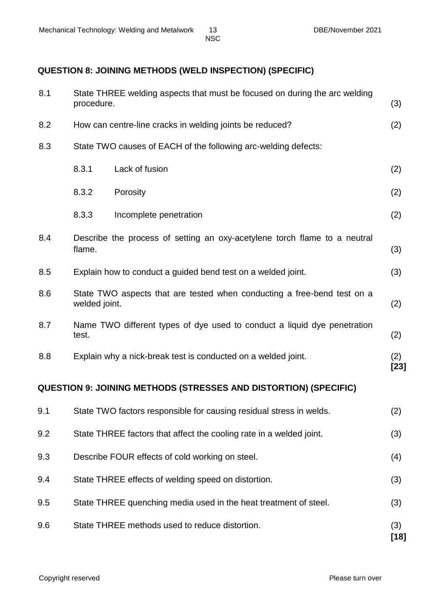# **QUESTION 8: JOINING METHODS (WELD INSPECTION) (SPECIFIC)**

| 8.1 | procedure.    | State THREE welding aspects that must be focused on during the arc welding | (3)           |
|-----|---------------|----------------------------------------------------------------------------|---------------|
| 8.2 |               | How can centre-line cracks in welding joints be reduced?                   | (2)           |
| 8.3 |               | State TWO causes of EACH of the following arc-welding defects:             |               |
|     | 8.3.1         | Lack of fusion                                                             | (2)           |
|     | 8.3.2         | Porosity                                                                   | (2)           |
|     | 8.3.3         | Incomplete penetration                                                     | (2)           |
| 8.4 | flame.        | Describe the process of setting an oxy-acetylene torch flame to a neutral  | (3)           |
| 8.5 |               | Explain how to conduct a guided bend test on a welded joint.               | (3)           |
| 8.6 | welded joint. | State TWO aspects that are tested when conducting a free-bend test on a    | (2)           |
| 8.7 | test.         | Name TWO different types of dye used to conduct a liquid dye penetration   | (2)           |
| 8.8 |               | Explain why a nick-break test is conducted on a welded joint.              | (2)<br>$[23]$ |
|     |               | <b>QUESTION 9: JOINING METHODS (STRESSES AND DISTORTION) (SPECIFIC)</b>    |               |
| 9.1 |               | State TWO factors responsible for causing residual stress in welds.        | (2)           |
| 9.2 |               | State THREE factors that affect the cooling rate in a welded joint.        | (3)           |
| 9.3 |               | Describe FOUR effects of cold working on steel.                            | (4)           |

- 9.4 State THREE effects of welding speed on distortion. (3) 9.5 State THREE quenching media used in the heat treatment of steel. (3)
- 9.6 State THREE methods used to reduce distortion. (3)
	- **[18]**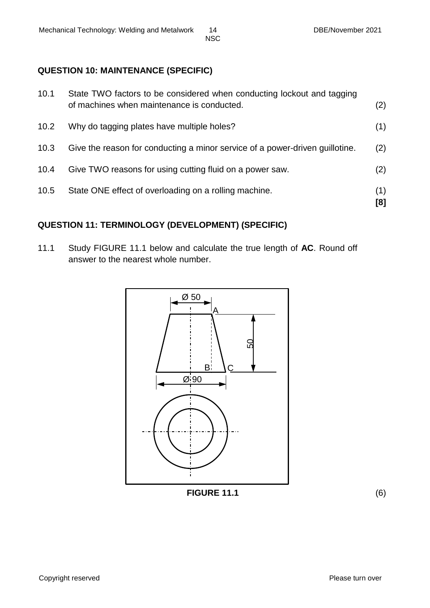# **QUESTION 10: MAINTENANCE (SPECIFIC)**

| 10.1 | State TWO factors to be considered when conducting lockout and tagging<br>of machines when maintenance is conducted. | (2)        |
|------|----------------------------------------------------------------------------------------------------------------------|------------|
| 10.2 | Why do tagging plates have multiple holes?                                                                           | (1)        |
| 10.3 | Give the reason for conducting a minor service of a power-driven quillotine.                                         | (2)        |
| 10.4 | Give TWO reasons for using cutting fluid on a power saw.                                                             | (2)        |
| 10.5 | State ONE effect of overloading on a rolling machine.                                                                | (1)<br>[8] |

# **QUESTION 11: TERMINOLOGY (DEVELOPMENT) (SPECIFIC)**

11.1 Study FIGURE 11.1 below and calculate the true length of **AC**. Round off answer to the nearest whole number.



**FIGURE 11.1** (6)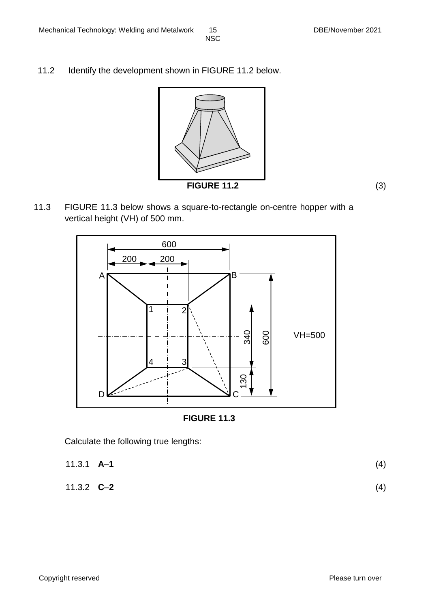11.2 Identify the development shown in FIGURE 11.2 below.



**FIGURE 11.2** (3)

11.3 FIGURE 11.3 below shows a square-to-rectangle on-centre hopper with a vertical height (VH) of 500 mm.





Calculate the following true lengths:

11.3.1 **A**–**1** (4) 11.3.2 **C**–**2** (4)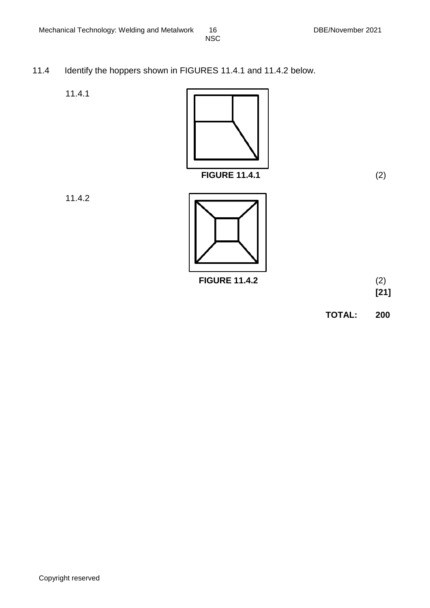- 11.4 Identify the hoppers shown in FIGURES 11.4.1 and 11.4.2 below.
	- 11.4.1



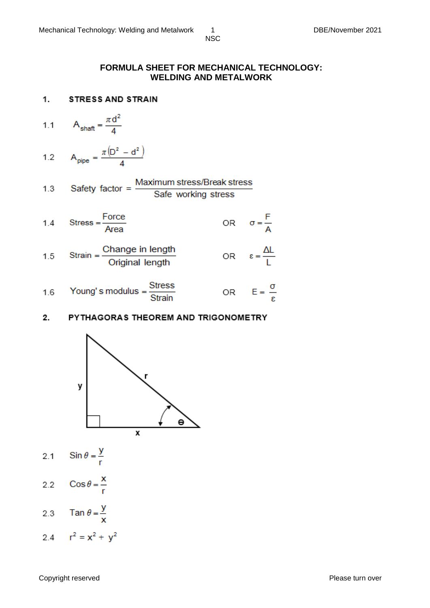#### **FORMULA SHEET FOR MECHANICAL TECHNOLOGY: WELDING AND METALWORK**

1. **STRESS AND STRAIN** 

$$
1.1 \qquad A_{\text{shaff}} = \frac{\pi d^2}{4}
$$

$$
1.2 \qquad A_{\text{pipe}} = \frac{\pi \left( D^2 - d^2 \right)}{4}
$$

1.3 Safety factor = 
$$
\frac{\text{Maximum stress/Break stress}}{\text{Safe working stress}}
$$

1.4 Stress = 
$$
\frac{\text{Force}}{\text{Area}}
$$
 OR  $\sigma = \frac{\text{F}}{\text{A}}$ 

1.5 Strain = 
$$
\frac{\text{Change in length}}{\text{Original length}}
$$
 OR  $\epsilon = \frac{\Delta L}{L}$ 

1.6 Young's modulus = 
$$
\frac{\text{Stress}}{\text{Strain}}
$$
 OR  $E = \frac{\sigma}{\epsilon}$ 

#### $2.$ PYTHAGORAS THEOREM AND TRIGONOMETRY



- Sin  $\theta = \frac{y}{r}$  $2.1$
- $\cos \theta = \frac{x}{r}$  $2.2$
- Tan  $\theta = \frac{y}{x}$  $2.3$
- 2.4  $r^2 = x^2 + y^2$